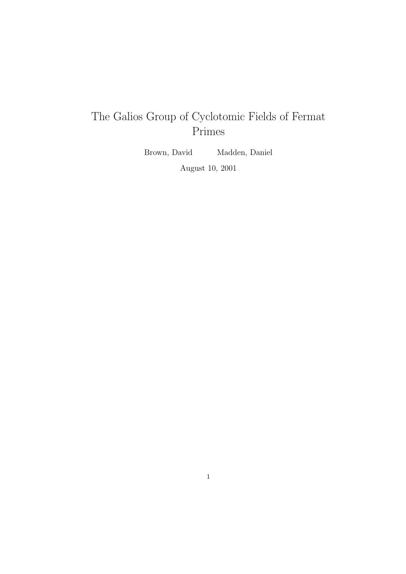# The Galios Group of Cyclotomic Fields of Fermat Primes

Brown, David Madden, Daniel

August 10, 2001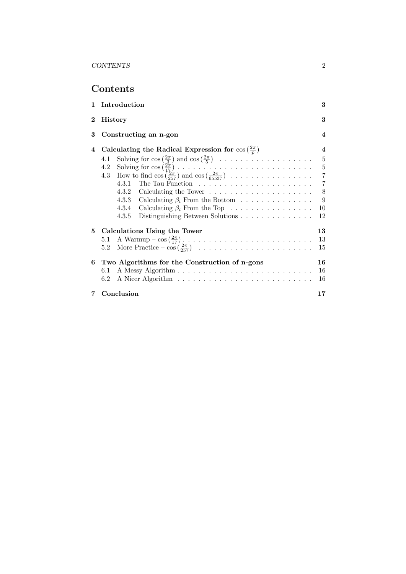Contents

| 1.       | Introduction                                                                                                                         | 3              |  |
|----------|--------------------------------------------------------------------------------------------------------------------------------------|----------------|--|
| $\bf{2}$ | <b>History</b>                                                                                                                       |                |  |
| 3        | Constructing an n-gon                                                                                                                | $\overline{4}$ |  |
| 4        | Calculating the Radical Expression for $\cos(\frac{2\pi}{n})$                                                                        | 4              |  |
|          | Solving for $\cos\left(\frac{2\pi}{3}\right)$ and $\cos\left(\frac{2\pi}{5}\right) \dots \dots \dots \dots \dots \dots \dots$<br>4.1 | $\overline{5}$ |  |
|          | 4.2                                                                                                                                  | $\bf 5$        |  |
|          | How to find $\cos\left(\frac{2\pi}{257}\right)$ and $\cos\left(\frac{2\pi}{65537}\right)$<br>4.3                                     | $\overline{7}$ |  |
|          | 4.3.1 The Tau Function $\ldots \ldots \ldots \ldots \ldots \ldots \ldots$                                                            | $\overline{7}$ |  |
|          |                                                                                                                                      | $8\,$          |  |
|          | 4.3.3 Calculating $\beta_i$ From the Bottom                                                                                          | 9              |  |
|          | 4.3.4 Calculating $\beta_i$ From the Top                                                                                             | 10             |  |
|          | 4.3.5<br>Distinguishing Between Solutions                                                                                            | 12             |  |
|          | 5 Calculations Using the Tower                                                                                                       | 13             |  |
|          | A Warmup $-\cos(\frac{2\pi}{17})$<br>5.1                                                                                             | 13             |  |
|          | $5.2\,$                                                                                                                              | 15             |  |
|          | 6 Two Algorithms for the Construction of n-gons                                                                                      | 16             |  |
|          | 6.1                                                                                                                                  | 16             |  |
|          | 6.2                                                                                                                                  | 16             |  |
| 7        | Conclusion                                                                                                                           | 17             |  |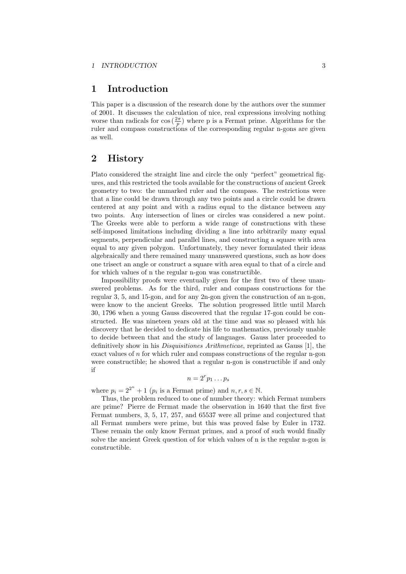### 1 Introduction

This paper is a discussion of the research done by the authors over the summer of 2001. It discusses the calculation of nice, real expressions involving nothing worse than radicals for  $\cos(\frac{2\pi}{p})$  where p is a Fermat prime. Algorithms for the ruler and compass constructions of the corresponding regular n-gons are given as well.

### 2 History

Plato considered the straight line and circle the only "perfect" geometrical figures, and this restricted the tools available for the constructions of ancient Greek geometry to two: the unmarked ruler and the compass. The restrictions were that a line could be drawn through any two points and a circle could be drawn centered at any point and with a radius equal to the distance between any two points. Any intersection of lines or circles was considered a new point. The Greeks were able to perform a wide range of constructions with these self-imposed limitations including dividing a line into arbitrarily many equal segments, perpendicular and parallel lines, and constructing a square with area equal to any given polygon. Unfortunately, they never formulated their ideas algebraically and there remained many unanswered questions, such as how does one trisect an angle or construct a square with area equal to that of a circle and for which values of n the regular n-gon was constructible.

Impossibility proofs were eventually given for the first two of these unanswered problems. As for the third, ruler and compass constructions for the regular 3, 5, and 15-gon, and for any 2n-gon given the construction of an n-gon, were know to the ancient Greeks. The solution progressed little until March 30, 1796 when a young Gauss discovered that the regular 17-gon could be constructed. He was nineteen years old at the time and was so pleased with his discovery that he decided to dedicate his life to mathematics, previously unable to decide between that and the study of languages. Gauss later proceeded to definitively show in his Disquisitiones Arithmeticae, reprinted as Gauss [1], the exact values of n for which ruler and compass constructions of the regular n-gon were constructible; he showed that a regular n-gon is constructible if and only if

 $n=2^r p_1 \dots p_s$ 

where  $p_i = 2^{2^n} + 1$   $(p_i$  is a Fermat prime) and  $n, r, s \in \mathbb{N}$ .

Thus, the problem reduced to one of number theory: which Fermat numbers are prime? Pierre de Fermat made the observation in 1640 that the first five Fermat numbers, 3, 5, 17, 257, and 65537 were all prime and conjectured that all Fermat numbers were prime, but this was proved false by Euler in 1732. These remain the only know Fermat primes, and a proof of such would finally solve the ancient Greek question of for which values of n is the regular n-gon is constructible.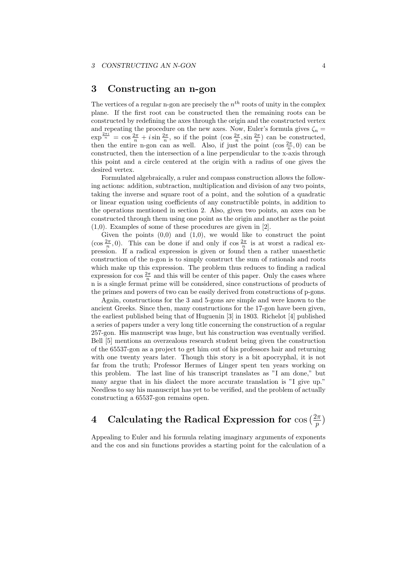### 3 Constructing an n-gon

The vertices of a regular n-gon are precisely the  $n^{th}$  roots of unity in the complex plane. If the first root can be constructed then the remaining roots can be constructed by redefining the axes through the origin and the constructed vertex and repeating the procedure on the new axes. Now, Euler's formula gives  $\zeta_n =$  $\exp^{\frac{2\pi i}{n}} = \cos \frac{2\pi}{n} + i \sin \frac{2\pi}{n}$ , so if the point  $(\cos \frac{2\pi}{n}, \sin \frac{2\pi}{n})$  can be constructed, then the entire n-gon can as well. Also, if just the point  $(\cos \frac{2\pi}{n}, 0)$  can be constructed, then the intersection of a line perpendicular to the x-axis through this point and a circle centered at the origin with a radius of one gives the desired vertex.

Formulated algebraically, a ruler and compass construction allows the following actions: addition, subtraction, multiplication and division of any two points, taking the inverse and square root of a point, and the solution of a quadratic or linear equation using coefficients of any constructible points, in addition to the operations mentioned in section 2. Also, given two points, an axes can be constructed through them using one point as the origin and another as the point (1,0). Examples of some of these procedures are given in [2].

Given the points  $(0,0)$  and  $(1,0)$ , we would like to construct the point (cos  $\frac{2\pi}{n}$ , 0). This can be done if and only if cos  $\frac{2\pi}{n}$  is at worst a radical expression. If a radical expression is given or found then a rather unaesthetic construction of the n-gon is to simply construct the sum of rationals and roots which make up this expression. The problem thus reduces to finding a radical expression for  $\cos \frac{2\pi}{n}$  and this will be center of this paper. Only the cases where n is a single fermat prime will be considered, since constructions of products of the primes and powers of two can be easily derived from constructions of p-gons.

Again, constructions for the 3 and 5-gons are simple and were known to the ancient Greeks. Since then, many constructions for the 17-gon have been given, the earliest published being that of Huguenin [3] in 1803. Richelot [4] published a series of papers under a very long title concerning the construction of a regular 257-gon. His manuscript was huge, but his construction was eventually verified. Bell [5] mentions an overzealous research student being given the construction of the 65537-gon as a project to get him out of his professors hair and returning with one twenty years later. Though this story is a bit apocryphal, it is not far from the truth; Professor Hermes of Linger spent ten years working on this problem. The last line of his transcript translates as "I am done," but many argue that in his dialect the more accurate translation is "I give up." Needless to say his manuscript has yet to be verified, and the problem of actually constructing a 65537-gon remains open.

# 4 Calculating the Radical Expression for  $\cos(\frac{2\pi}{p})$

Appealing to Euler and his formula relating imaginary arguments of exponents and the cos and sin functions provides a starting point for the calculation of a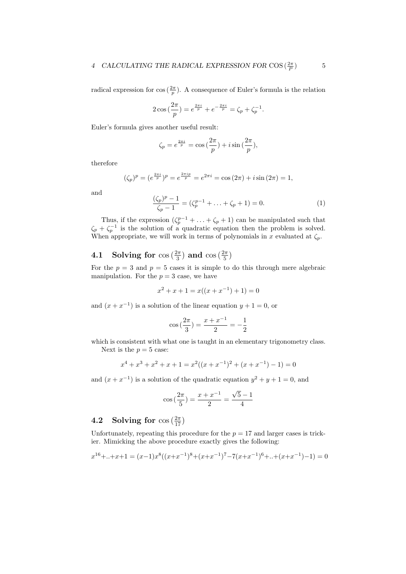radical expression for  $\cos\left(\frac{2\pi}{p}\right)$ . A consequence of Euler's formula is the relation

$$
2\cos\left(\frac{2\pi}{p}\right) = e^{\frac{2\pi i}{p}} + e^{-\frac{2\pi i}{p}} = \zeta_p + \zeta_p^{-1}.
$$

Euler's formula gives another useful result:

$$
\zeta_p = e^{\frac{2\pi i}{p}} = \cos\left(\frac{2\pi}{p}\right) + i\sin\left(\frac{2\pi}{p}\right),\,
$$

therefore

$$
(\zeta_p)^p = (e^{\frac{2\pi i}{p}})^p = e^{\frac{2\pi i p}{p}} = e^{2\pi i} = \cos(2\pi) + i\sin(2\pi) = 1,
$$

and

$$
\frac{(\zeta_p)^p - 1}{\zeta_p - 1} = (\zeta_p^{p-1} + \ldots + \zeta_p + 1) = 0.
$$
 (1)

Thus, if the expression  $(\zeta_p^{p-1} + \ldots + \zeta_p + 1)$  can be manipulated such that  $\zeta_p + \zeta_p^{-1}$  is the solution of a quadratic equation then the problem is solved. When appropriate, we will work in terms of polynomials in x evaluated at  $\zeta_p$ .

# **4.1** Solving for  $\cos\left(\frac{2\pi}{3}\right)$  and  $\cos\left(\frac{2\pi}{5}\right)$

For the  $p = 3$  and  $p = 5$  cases it is simple to do this through mere algebraic manipulation. For the  $p = 3$  case, we have

$$
x^{2} + x + 1 = x((x + x^{-1}) + 1) = 0
$$

and  $(x + x^{-1})$  is a solution of the linear equation  $y + 1 = 0$ , or

$$
\cos\left(\frac{2\pi}{3}\right) = \frac{x + x^{-1}}{2} = -\frac{1}{2}
$$

which is consistent with what one is taught in an elementary trigonometry class.

Next is the  $p = 5$  case:

$$
x^{4} + x^{3} + x^{2} + x + 1 = x^{2}((x + x^{-1})^{2} + (x + x^{-1}) - 1) = 0
$$

and  $(x + x^{-1})$  is a solution of the quadratic equation  $y^2 + y + 1 = 0$ , and

$$
\cos\left(\frac{2\pi}{5}\right) = \frac{x + x^{-1}}{2} = \frac{\sqrt{5} - 1}{4}
$$

# **4.2** Solving for  $\cos\left(\frac{2\pi}{17}\right)$

Unfortunately, repeating this procedure for the  $p = 17$  and larger cases is trickier. Mimicking the above procedure exactly gives the following:

$$
x^{16} + ... + x + 1 = (x-1)x^8((x+x^{-1})^8 + (x+x^{-1})^7 - 7(x+x^{-1})^6 + ... + (x+x^{-1}) - 1) = 0
$$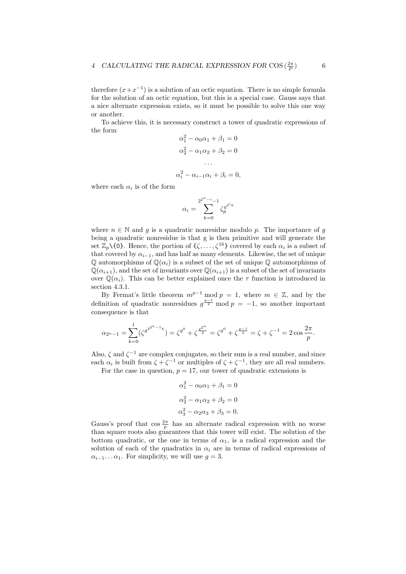therefore  $(x+x^{-1})$  is a solution of an octic equation. There is no simple formula for the solution of an octic equation, but this is a special case. Gauss says that a nice alternate expression exists, so it must be possible to solve this one way or another.

To achieve this, it is necessary construct a tower of quadratic expressions of the form

$$
\alpha_1^2 - \alpha_0 \alpha_1 + \beta_1 = 0
$$
  
\n
$$
\alpha_2^2 - \alpha_1 \alpha_2 + \beta_2 = 0
$$
  
\n...  
\n
$$
\alpha_i^2 - \alpha_{i-1} \alpha_i + \beta_i = 0,
$$

where each  $\alpha_i$  is of the form

$$
\alpha_i = \sum_{k=0}^{2^{2^n - i} - 1} \zeta_p^{g^{2^i k}}
$$

where  $n \in \mathbb{N}$  and g is a quadratic nonresidue modulo p. The importance of g being a quadratic nonresidue is that g is then primitive and will generate the set  $\mathbb{Z}_p\backslash\{0\}$ . Hence, the portion of  $\{\zeta, \ldots, \zeta^{16}\}$  covered by each  $\alpha_i$  is a subset of that covered by  $\alpha_{i-1}$ , and has half as many elements. Likewise, the set of unique  $\mathbb Q$  automorphisms of  $\mathbb Q(\alpha_i)$  is a subset of the set of unique  $\mathbb Q$  automorphisms of  $\mathbb{Q}(\alpha_{i+1})$ , and the set of invariants over  $\mathbb{Q}(\alpha_{i+1})$  is a subset of the set of invariants over  $\mathbb{Q}(\alpha_i)$ . This can be better explained once the  $\tau$  function is introduced in section 4.3.1.

By Fermat's little theorem  $m^{p-1}$  mod  $p = 1$ , where  $m \in \mathbb{Z}$ , and by the definition of quadratic nonresidues  $g^{\frac{p-1}{2}}$  mod  $p = -1$ , so another important consequence is that

$$
\alpha_{2^n-1} = \sum_{k=0}^1 (\zeta^{g^{2^{2^n-1}k}}) = \zeta^{g^0} + \zeta^{2^{2^n}} = \zeta^{g^0} + \zeta^{p-1} = \zeta + \zeta^{-1} = 2\cos\frac{2\pi}{p}.
$$

Also,  $\zeta$  and  $\zeta^{-1}$  are complex conjugates, so their sum is a real number, and since each  $\alpha_i$  is built from  $\zeta + \zeta^{-1}$  or multiples of  $\zeta + \zeta^{-1}$ , they are all real numbers. For the case in question,  $p = 17$ , our tower of quadratic extensions is

$$
\alpha_1^2 - \alpha_0 \alpha_1 + \beta_1 = 0
$$
  
\n
$$
\alpha_2^2 - \alpha_1 \alpha_2 + \beta_2 = 0
$$
  
\n
$$
\alpha_3^2 - \alpha_2 \alpha_3 + \beta_3 = 0.
$$

Gauss's proof that  $\cos \frac{2\pi}{p}$  has an alternate radical expression with no worse than square roots also guarantees that this tower will exist. The solution of the bottom quadratic, or the one in terms of  $\alpha_1$ , is a radical expression and the solution of each of the quadratics in  $\alpha_i$  are in terms of radical expressions of  $\alpha_{i-1} \dots \alpha_1$ . For simplicity, we will use  $g = 3$ .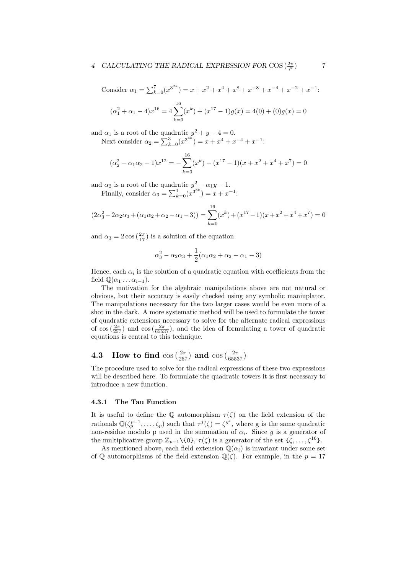#### 4 CALCULATING THE RADICAL EXPRESSION FOR COS  $(\frac{2\pi}{P})$ ) 7

Consider  $\alpha_1 = \sum_{k=0}^7 (x^{3^{2k}}) = x + x^2 + x^4 + x^8 + x^{-8} + x^{-4} + x^{-2} + x^{-1}$  $(\alpha_1^2 + \alpha_1 - 4)x^{16} = 4\sum^{16}$  $k=0$  $(x^{k}) + (x^{17} - 1)g(x) = 4(0) + (0)g(x) = 0$ 

and  $\alpha_1$  is a root of the quadratic  $y^2 + y - 4 = 0$ . Next consider  $\alpha_2 = \sum_{k=0}^3 (x^{3^{4k}}) = x + x^4 + x^{-4} + x^{-1}$ :

$$
(\alpha_2^2 - \alpha_1 \alpha_2 - 1)x^{12} = -\sum_{k=0}^{16} (x^k) - (x^{17} - 1)(x + x^2 + x^4 + x^7) = 0
$$

and  $\alpha_2$  is a root of the quadratic  $y^2 - \alpha_1 y - 1$ .

Finally, consider  $\alpha_3 = \sum_{k=0}^1 (x^{3^{8k}}) = x + x^{-1}$ :

$$
(2\alpha_3^2 - 2\alpha_2\alpha_3 + (\alpha_1\alpha_2 + \alpha_2 - \alpha_1 - 3)) = \sum_{k=0}^{16} (x^k) + (x^{17} - 1)(x + x^2 + x^4 + x^7) = 0
$$

and  $\alpha_3 = 2 \cos(\frac{2\pi}{17})$  is a solution of the equation

$$
\alpha_3^2 - \alpha_2 \alpha_3 + \frac{1}{2}(\alpha_1 \alpha_2 + \alpha_2 - \alpha_1 - 3)
$$

Hence, each  $\alpha_i$  is the solution of a quadratic equation with coefficients from the field  $\mathbb{Q}(\alpha_1 \dots \alpha_{i-1})$ .

The motivation for the algebraic manipulations above are not natural or obvious, but their accuracy is easily checked using any symbolic maniuplator. The manipulations necessary for the two larger cases would be even more of a shot in the dark. A more systematic method will be used to formulate the tower of quadratic extensions necessary to solve for the alternate radical expressions of  $\cos\left(\frac{2\pi}{257}\right)$  and  $\cos\left(\frac{2\pi}{65537}\right)$ , and the idea of formulating a tower of quadratic equations is central to this technique.

# **4.3** How to find  $\cos(\frac{2\pi}{257})$  and  $\cos(\frac{2\pi}{65537})$

The procedure used to solve for the radical expressions of these two expressions will be described here. To formulate the quadratic towers it is first necessary to introduce a new function.

#### 4.3.1 The Tau Function

It is useful to define the Q automorphism  $\tau(\zeta)$  on the field extension of the rationals  $\mathbb{Q}(\zeta_p^{p-1},\ldots,\zeta_p)$  such that  $\tau^j(\zeta) = \zeta^{g^j}$ , where g is the same quadratic non-residue modulo p used in the summation of  $\alpha_i$ . Since g is a generator of the multiplicative group  $\mathbb{Z}_{p-1}\setminus\{0\}$ ,  $\tau(\zeta)$  is a generator of the set  $\{\zeta, \ldots, \zeta^{16}\}$ .

As mentioned above, each field extension  $\mathbb{Q}(\alpha_i)$  is invariant under some set of Q automorphisms of the field extension  $\mathbb{Q}(\zeta)$ . For example, in the  $p = 17$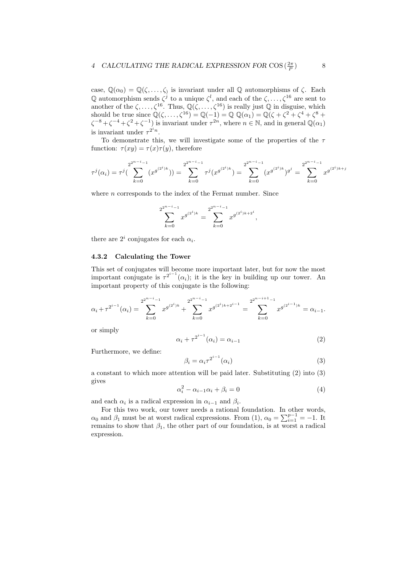case,  $\mathbb{Q}(\alpha_0) = \mathbb{Q}(\zeta, \ldots, \zeta)$  is invariant under all  $\mathbb{Q}$  automorphisms of  $\zeta$ . Each Q automorphism sends  $\zeta^j$  to a unique  $\zeta^l$ , and each of the  $\zeta, \ldots, \zeta^{16}$  are sent to another of the  $\zeta, \ldots, \zeta^{16}$ . Thus,  $\mathbb{Q}(\zeta, \ldots, \zeta^{16})$  is really just  $\mathbb Q$  in disguise, which should be true since  $\mathbb{Q}(\zeta, \ldots, \zeta^{16}) = \mathbb{Q}(-1) = \mathbb{Q} \mathbb{Q}(\alpha_1) = \mathbb{Q}(\zeta + \zeta^2 + \zeta^4 + \zeta^8 + \zeta^8)$  $\zeta^{-8} + \zeta^{-4} + \zeta^2 + \zeta^{-1}$ ) is invariant under  $\tau^{2n}$ , where  $n \in \mathbb{N}$ , and in general  $\mathbb{Q}(\alpha_1)$ is invariant under  $\tau^{2^{i}n}$ .

To demonstrate this, we will investigate some of the properties of the  $\tau$ function:  $\tau(xy) = \tau(x)\tau(y)$ , therefore

$$
\tau^{j}(\alpha_{i}) = \tau^{j}(\sum_{k=0}^{2^{2^{n-i}-1}} (x^{g^{(2^{i})k}})) = \sum_{k=0}^{2^{2^{n-i}-1}} \tau^{j}(x^{g^{(2^{i})k}}) = \sum_{k=0}^{2^{2^{n-i}-1}} (x^{g^{(2^{i})k}})^{g^{j}} = \sum_{k=0}^{2^{2^{n-i}-1}} x^{g^{(2^{i})k+j}}
$$

where *n* corresponds to the index of the Fermat number. Since

$$
\sum_{k=0}^{2^{2^{n-i}-1}} x^{g^{(2^i)k}} = \sum_{k=0}^{2^{2^{n-i}-1}} x^{g^{(2^i)k+2^i}},
$$

there are  $2^i$  conjugates for each  $\alpha_i$ .

#### 4.3.2 Calculating the Tower

This set of conjugates will become more important later, but for now the most important conjugate is  $\tau^{2^{i-1}}(\alpha_i)$ ; it is the key in building up our tower. An important property of this conjugate is the following:

$$
\alpha_i + \tau^{2^{i-1}}(\alpha_i) = \sum_{k=0}^{2^{2^{n-i}-1}} x^{g^{(2^i)k}} + \sum_{k=0}^{2^{2^{n-i}-1}} x^{g^{(2^i)k+2^{i-1}}} = \sum_{k=0}^{2^{2^{n-i}+1}-1} x^{g^{(2^{i-1})k}} = \alpha_{i-1}.
$$

or simply

$$
\alpha_i + \tau^{2^{i-1}}(\alpha_i) = \alpha_{i-1} \tag{2}
$$

Furthermore, we define:

$$
\beta_i = \alpha_i \tau^{2^{i-1}}(\alpha_i) \tag{3}
$$

a constant to which more attention will be paid later. Substituting (2) into (3) gives

$$
\alpha_i^2 - \alpha_{i-1}\alpha_i + \beta_i = 0 \tag{4}
$$

and each  $\alpha_i$  is a radical expression in  $\alpha_{i-1}$  and  $\beta_i$ .

For this two work, our tower needs a rational foundation. In other words,  $\alpha_0$  and  $\beta_1$  must be at worst radical expressions. From (1),  $\alpha_0 = \sum_{i=1}^{p-1} = -1$ . It remains to show that  $\beta_1$ , the other part of our foundation, is at worst a radical expression.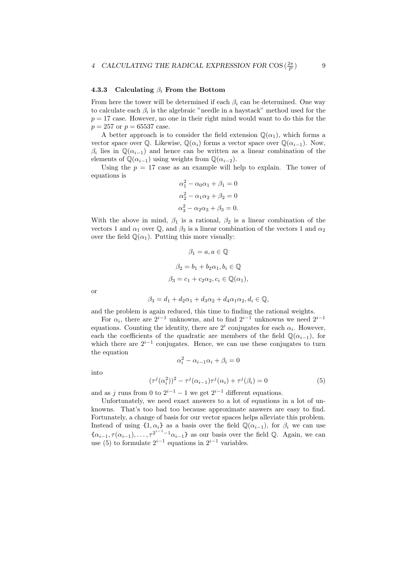#### 4.3.3 Calculating  $\beta_i$  From the Bottom

From here the tower will be determined if each  $\beta_i$  can be determined. One way to calculate each  $\beta_i$  is the algebraic "needle in a haystack" method used for the  $p = 17$  case. However, no one in their right mind would want to do this for the  $p = 257$  or  $p = 65537$  case.

A better approach is to consider the field extension  $\mathbb{Q}(\alpha_1)$ , which forms a vector space over  $\mathbb{Q}$ . Likewise,  $\mathbb{Q}(\alpha_i)$  forms a vector space over  $\mathbb{Q}(\alpha_{i-1})$ . Now,  $\beta_i$  lies in  $\mathbb{Q}(\alpha_{i-1})$  and hence can be written as a linear combination of the elements of  $\mathbb{Q}(\alpha_{i-1})$  using weights from  $\mathbb{Q}(\alpha_{i-2})$ .

Using the  $p = 17$  case as an example will help to explain. The tower of equations is

$$
\alpha_1^2 - \alpha_0 \alpha_1 + \beta_1 = 0
$$
  
\n
$$
\alpha_2^2 - \alpha_1 \alpha_2 + \beta_2 = 0
$$
  
\n
$$
\alpha_3^2 - \alpha_2 \alpha_3 + \beta_3 = 0.
$$

With the above in mind,  $\beta_1$  is a rational,  $\beta_2$  is a linear combination of the vectors 1 and  $\alpha_1$  over Q, and  $\beta_3$  is a linear combination of the vectors 1 and  $\alpha_2$ over the field  $\mathbb{Q}(\alpha_1)$ . Putting this more visually:

$$
\beta_1 = a, a \in \mathbb{Q}
$$

$$
\beta_2 = b_1 + b_2 \alpha_1, b_i \in \mathbb{Q}
$$

$$
\beta_3 = c_1 + c_2 \alpha_2, c_i \in \mathbb{Q}(\alpha_1),
$$

or

$$
\beta_3 = d_1 + d_2 \alpha_1 + d_3 \alpha_2 + d_4 \alpha_1 \alpha_2, d_i \in \mathbb{Q},
$$

and the problem is again reduced, this time to finding the rational weights.

For  $\alpha_i$ , there are  $2^{i-1}$  unknowns, and to find  $2^{i-1}$  unknowns we need  $2^{i-1}$ equations. Counting the identity, there are  $2^i$  conjugates for each  $\alpha_i$ . However, each the coefficients of the quadratic are members of the field  $\mathbb{Q}(\alpha_{i-1})$ , for which there are  $2^{i-1}$  conjugates. Hence, we can use these conjugates to turn the equation

 $\alpha_i^2 - \alpha_{i-1}\alpha_i + \beta_i = 0$ 

into

$$
(\tau^{j}(\alpha_{i}^{2}))^{2} - \tau^{j}(\alpha_{i-1})\tau^{j}(\alpha_{i}) + \tau^{j}(\beta_{i}) = 0
$$
\n(5)

and as j runs from 0 to  $2^{i-1} - 1$  we get  $2^{i-1}$  different equations.

Unfortunately, we need exact answers to a lot of equations in a lot of unknowns. That's too bad too because approximate answers are easy to find. Fortunately, a change of basis for our vector spaces helps alleviate this problem. Instead of using  $\{1, \alpha_i\}$  as a basis over the field  $\mathbb{Q}(\alpha_{i-1})$ , for  $\beta_i$  we can use  $\{\alpha_{i-1}, \tau(\alpha_{i-1}), \ldots, \tau^{2^{i-1}-1}\alpha_{i-1}\}\$ as our basis over the field Q. Again, we can use (5) to formulate  $2^{i-1}$  equations in  $2^{i-1}$  variables.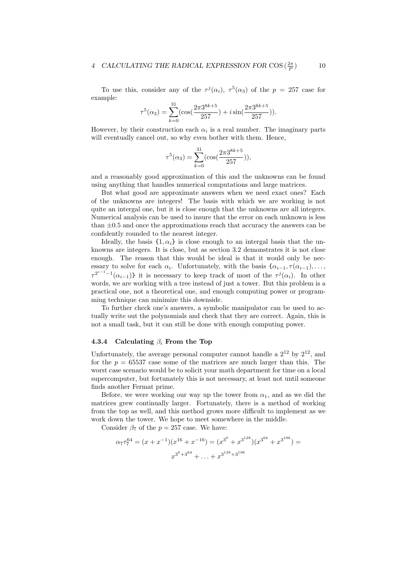### 4 CALCULATING THE RADICAL EXPRESSION FOR COS  $(\frac{2\pi}{P})$

To use this, consider any of the  $\tau^{j}(\alpha_i)$ ,  $\tau^{5}(\alpha_3)$  of the  $p = 257$  case for example:

$$
\tau^{5}(\alpha_3) = \sum_{k=0}^{31} (\cos(\frac{2\pi 3^{8k+5}}{257}) + i \sin(\frac{2\pi 3^{8k+5}}{257})).
$$

However, by their construction each  $\alpha_i$  is a real number. The imaginary parts will eventually cancel out, so why even bother with them. Hence,

$$
\tau^5(\alpha_3) = \sum_{k=0}^{31} (\cos(\frac{2\pi 3^{8k+5}}{257})),
$$

and a reasonably good approximation of this and the unknowns can be found using anything that handles numerical computations and large matrices.

But what good are approximate answers when we need exact ones? Each of the unknowns are integers! The basis with which we are working is not quite an intergal one, but it is close enough that the unknowns are all integers. Numerical analysis can be used to insure that the error on each unknown is less than  $\pm 0.5$  and once the approximations reach that accuracy the answers can be confidently rounded to the nearest integer.

Ideally, the basis  $\{1, \alpha_i\}$  is close enough to an intergal basis that the unknowns are integers. It is close, but as section 3.2 demonstrates it is not close enough. The reason that this would be ideal is that it would only be necessary to solve for each  $\alpha_i$ . Unfortunately, with the basis  $\{\alpha_{i-1}, \tau(\alpha_{i-1}), \ldots, \tau(\alpha_{i-1})\}$  $\tau^{2^{i-1}-1}(\alpha_{i-1})$  it is necessary to keep track of most of the  $\tau^{j}(\alpha_{i})$ . In other words, we are working with a tree instead of just a tower. But this problem is a practical one, not a theoretical one, and enough computing power or programming technique can minimize this downside.

To further check one's answers, a symbolic manipulator can be used to actually write out the polynomials and check that they are correct. Again, this is not a small task, but it can still be done with enough computing power.

#### 4.3.4 Calculating  $\beta_i$  From the Top

Unfortunately, the average personal computer cannot handle a  $2^{12}$  by  $2^{12}$ , and for the  $p = 65537$  case some of the matrices are much larger than this. The worst case scenario would be to solicit your math department for time on a local supercomputer, but fortunately this is not necessary, at least not until someone finds another Fermat prime.

Before, we were working our way up the tower from  $\alpha_1$ , and as we did the matrices grew continually larger. Fortunately, there is a method of working from the top as well, and this method grows more difficult to implement as we work down the tower. We hope to meet somewhere in the middle.

Consider  $\beta_7$  of the  $p = 257$  case. We have:

$$
\alpha_7 \tau_7^{64} = (x + x^{-1})(x^{16} + x^{-16}) = (x^{3^0} + x^{3^{128}})(x^{3^{64}} + x^{3^{196}}) =
$$
  

$$
x^{3^0 + 3^{64}} + \dots + x^{3^{128} + 3^{196}}
$$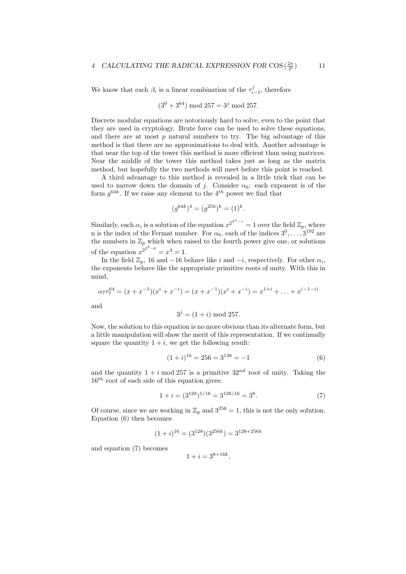We know that each  $\beta_i$  is a linear combination of the  $\tau_{i-1}^j$ , therefore

$$
(3^0 + 3^{64}) \mod 257 = 3^j \mod 257.
$$

Discrete modular equations are notoriously hard to solve, even to the point that they are used in cryptology. Brute force can be used to solve these equations, and there are at most  $p$  natural numbers to try. The big advantage of this method is that there are no approximations to deal with. Another advantage is that near the top of the tower this method is more efficient than using matrices. Near the middle of the tower this method takes just as long as the matrix method, but hopefully the two methods will meet before this point is reached.

A third advantage to this method is revealed in a little trick that can be used to narrow down the domain of j. Consider  $\alpha_6$ : each exponent is of the form  $g^{64k}$ . If we raise any element to the 4<sup>th</sup> power we find that

$$
(g^{64k})^4 = (g^{256})^k = (1)^k.
$$

Similarly, each  $\alpha_i$  is a solution of the equation  $x^{2^{2^{n}-i}} = 1$  over the field  $\mathbb{Z}_p$ , where n is the index of the Fermat number. For  $\alpha_6$ , each of the indices  $3^0, \ldots, 3^{192}$  are the numbers in  $\mathbb{Z}_p$  which when raised to the fourth power give one, or solutions of the equation  $x^{2^{2^3-6}} = x^4 = 1$ .

In the field  $\mathbb{Z}_p$ , 16 and -16 behave like i and -i, respectively. For other  $\alpha_i$ , the exponents behave like the appropriate primitive roots of unity. With this in mind,

$$
\alpha_7 \tau_7^{64} = (x + x^{-1})(x^i + x^{-i}) = (x + x^{-1})(x^i + x^{-i}) = x^{1+i} + \ldots + x^{(-1-i)}
$$

and

$$
3^j = (1+i) \bmod 257.
$$

Now, the solution to this equation is no more obvious than its alternate form, but a little manipulation will show the merit of this representation. If we continually square the quantity  $1 + i$ , we get the following result:

$$
(1+i)^{16} = 256 = 3^{128} = -1
$$
 (6)

and the quantity  $1 + i \mod 257$  is a primitive  $32^{nd}$  root of unity. Taking the  $16<sup>th</sup>$  root of each side of this equation gives:

$$
1 + i = (3^{128})^{1/16} = 3^{128/16} = 3^8.
$$
 (7)

Of course, since we are working in  $\mathbb{Z}_p$  and  $3^{256} = 1$ , this is not the only solution. Equation (6) then becomes

$$
(1+i)^{16} = (3^{128})(3^{256k}) = 3^{128+256k}
$$

and equation (7) becomes

$$
1 + i = 3^{8 + 16k},
$$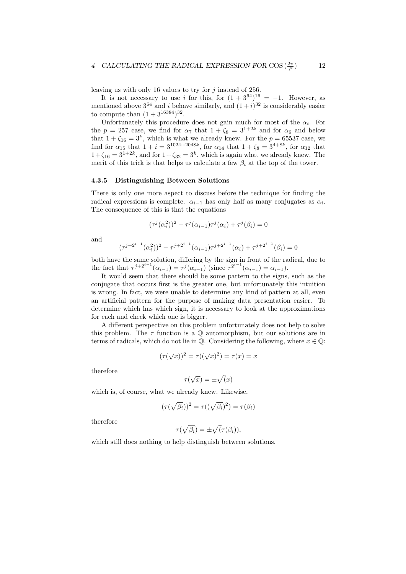leaving us with only 16 values to try for  $j$  instead of 256.

It is not necessary to use i for this, for  $(1+3^{64})^{16} = -1$ . However, as mentioned above  $3^{64}$  and i behave similarly, and  $(1+i)^{32}$  is considerably easier to compute than  $(1 + 3^{16384})^{32}$ .

Unfortunately this procedure does not gain much for most of the  $\alpha_i$ . For the  $p = 257$  case, we find for  $\alpha_7$  that  $1 + \zeta_8 = 3^{1+2k}$  and for  $\alpha_6$  and below that  $1 + \zeta_{16} = 3^k$ , which is what we already knew. For the  $p = 65537$  case, we find for  $\alpha_{15}$  that  $1 + i = 3^{1024 + 2048k}$ , for  $\alpha_{14}$  that  $1 + \zeta_8 = 3^{4+8k}$ , for  $\alpha_{12}$  that  $1+\zeta_{16} = 3^{1+2k}$ , and for  $1+\zeta_{32} = 3^k$ , which is again what we already knew. The merit of this trick is that helps us calculate a few  $\beta_i$  at the top of the tower.

#### 4.3.5 Distinguishing Between Solutions

There is only one more aspect to discuss before the technique for finding the radical expressions is complete.  $\alpha_{i-1}$  has only half as many conjugates as  $\alpha_i$ . The consequence of this is that the equations

$$
(\tau^j(\alpha_i^2))^2 - \tau^j(\alpha_{i-1})\tau^j(\alpha_i) + \tau^j(\beta_i) = 0
$$

and

$$
(\tau^{j+2^{i-1}}(\alpha_i^2))^2 - \tau^{j+2^{i-1}}(\alpha_{i-1})\tau^{j+2^{i-1}}(\alpha_i) + \tau^{j+2^{i-1}}(\beta_i) = 0
$$

both have the same solution, differing by the sign in front of the radical, due to the fact that  $\tau^{j+2^{i-1}}(\alpha_{i-1}) = \tau^j(\alpha_{i-1})$  (since  $\tau^{2^{i-1}}(\alpha_{i-1}) = \alpha_{i-1}$ ).

It would seem that there should be some pattern to the signs, such as the conjugate that occurs first is the greater one, but unfortunately this intuition is wrong. In fact, we were unable to determine any kind of pattern at all, even an artificial pattern for the purpose of making data presentation easier. To determine which has which sign, it is necessary to look at the approximations for each and check which one is bigger.

A different perspective on this problem unfortunately does not help to solve this problem. The  $\tau$  function is a  $\mathbb Q$  automorphism, but our solutions are in terms of radicals, which do not lie in  $\mathbb{Q}$ . Considering the following, where  $x \in \mathbb{Q}$ :

$$
(\tau(\sqrt{x}))^2 = \tau((\sqrt{x})^2) = \tau(x) = x
$$

therefore

$$
\tau(\sqrt{x}) = \pm \sqrt{x}
$$

which is, of course, what we already knew. Likewise,

$$
(\tau(\sqrt{\beta_i}))^2 = \tau((\sqrt{\beta_i})^2) = \tau(\beta_i)
$$

therefore

$$
\tau(\sqrt{\beta_i}) = \pm \sqrt{(\tau(\beta_i))},
$$

which still does nothing to help distinguish between solutions.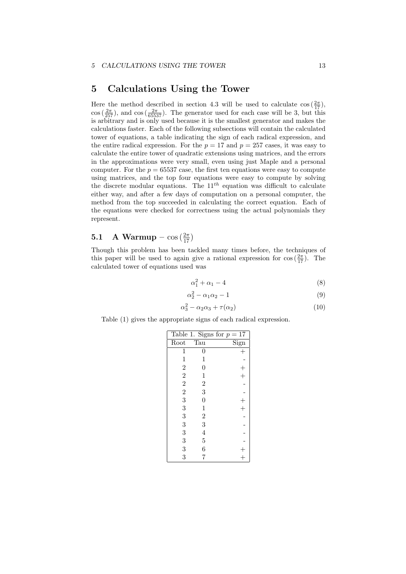### 5 Calculations Using the Tower

Here the method described in section 4.3 will be used to calculate  $\cos(\frac{2\pi}{17})$ ,  $\cos\left(\frac{2\pi}{257}\right)$ , and  $\cos\left(\frac{2\pi}{65537}\right)$ . The generator used for each case will be 3, but this is arbitrary and is only used because it is the smallest generator and makes the calculations faster. Each of the following subsections will contain the calculated tower of equations, a table indicating the sign of each radical expression, and the entire radical expression. For the  $p = 17$  and  $p = 257$  cases, it was easy to calculate the entire tower of quadratic extensions using matrices, and the errors in the approximations were very small, even using just Maple and a personal computer. For the  $p = 65537$  case, the first ten equations were easy to compute using matrices, and the top four equations were easy to compute by solving the discrete modular equations. The  $11^{th}$  equation was difficult to calculate either way, and after a few days of computation on a personal computer, the method from the top succeeded in calculating the correct equation. Each of the equations were checked for correctness using the actual polynomials they represent.

# 5.1 A Warmup –  $\cos\left(\frac{2\pi}{17}\right)$

Though this problem has been tackled many times before, the techniques of this paper will be used to again give a rational expression for  $\cos(\frac{2\pi}{17})$ . The calculated tower of equations used was

$$
\alpha_1^2 + \alpha_1 - 4 \tag{8}
$$

$$
\alpha_2^2 - \alpha_1 \alpha_2 - 1 \tag{9}
$$

$$
x_3^2 - \alpha_2 \alpha_3 + \tau(\alpha_2) \tag{10}
$$

Table (1) gives the appropriate signs of each radical expression.

α

|                                                   |                | Table 1. Signs for $p = 17$ |
|---------------------------------------------------|----------------|-----------------------------|
| Root                                              | Tau            | $\overline{\mathrm{Sign}}$  |
| 1                                                 | $\rm 0$        | $^{+}$                      |
| $\mathbf 1$                                       | $\mathbf 1$    |                             |
|                                                   | $\overline{0}$ |                             |
| $\begin{smallmatrix}2&2\2&2\3&3\end{smallmatrix}$ | $\mathbf{1}$   | $^{+}$                      |
|                                                   | $\frac{2}{3}$  |                             |
|                                                   |                |                             |
|                                                   | $\overline{0}$ |                             |
|                                                   | $\mathbf{1}$   | $^{+}$                      |
| 3                                                 |                |                             |
| 3                                                 | $\frac{2}{3}$  |                             |
| 3                                                 | $\overline{4}$ |                             |
| 3                                                 | $\overline{5}$ |                             |
| 3                                                 | 6              |                             |
| 3                                                 | 7              |                             |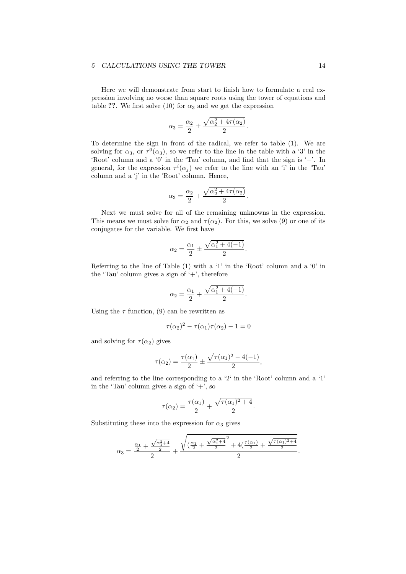#### 5 CALCULATIONS USING THE TOWER 14

Here we will demonstrate from start to finish how to formulate a real expression involving no worse than square roots using the tower of equations and table ??. We first solve (10) for  $\alpha_3$  and we get the expression

$$
\alpha_3 = \frac{\alpha_2}{2} \pm \frac{\sqrt{\alpha_2^2 + 4\tau(\alpha_2)}}{2}.
$$

To determine the sign in front of the radical, we refer to table (1). We are solving for  $\alpha_3$ , or  $\tau^0(\alpha_3)$ , so we refer to the line in the table with a '3' in the 'Root' column and a '0' in the 'Tau' column, and find that the sign is '+'. In general, for the expression  $\tau^{i}(\alpha_j)$  we refer to the line with an 'i' in the 'Tau' column and a 'j' in the 'Root' column. Hence,

$$
\alpha_3 = \frac{\alpha_2}{2} + \frac{\sqrt{\alpha_2^2 + 4\tau(\alpha_2)}}{2}.
$$

Next we must solve for all of the remaining unknowns in the expression. This means we must solve for  $\alpha_2$  and  $\tau(\alpha_2)$ . For this, we solve (9) or one of its conjugates for the variable. We first have

$$
\alpha_2 = \frac{\alpha_1}{2} \pm \frac{\sqrt{\alpha_1^2 + 4(-1)}}{2}.
$$

Referring to the line of Table (1) with a '1' in the 'Root' column and a '0' in the 'Tau' column gives a sign of  $'$ +', therefore

$$
\alpha_2 = \frac{\alpha_1}{2} + \frac{\sqrt{\alpha_1^2 + 4(-1)}}{2}.
$$

Using the  $\tau$  function, (9) can be rewritten as

$$
\tau(\alpha_2)^2 - \tau(\alpha_1)\tau(\alpha_2) - 1 = 0
$$

and solving for  $\tau(\alpha_2)$  gives

$$
\tau(\alpha_2) = \frac{\tau(\alpha_1)}{2} \pm \frac{\sqrt{\tau(\alpha_1)^2 - 4(-1)}}{2},
$$

and referring to the line corresponding to a '2' in the 'Root' column and a '1' in the 'Tau' column gives a sign of  $'$ +', so

$$
\tau(\alpha_2) = \frac{\tau(\alpha_1)}{2} + \frac{\sqrt{\tau(\alpha_1)^2 + 4}}{2}.
$$

Substituting these into the expression for  $\alpha_3$  gives

$$
\alpha_3 = \frac{\frac{\alpha_1}{2} + \frac{\sqrt{\alpha_1^2 + 4}}{2}}{2} + \frac{\sqrt{\left(\frac{\alpha_1}{2} + \frac{\sqrt{\alpha_1^2 + 4}}{2}\right)^2 + 4\left(\frac{\tau(\alpha_1)}{2} + \frac{\sqrt{\tau(\alpha_1)^2 + 4}}{2}\right)^2}}{2}.
$$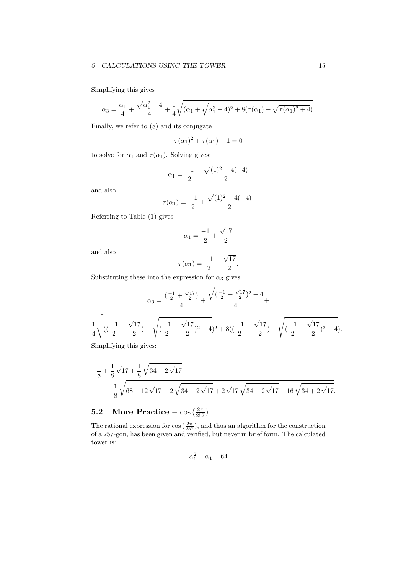#### 5 CALCULATIONS USING THE TOWER 15

Simplifying this gives

$$
\alpha_3 = \frac{\alpha_1}{4} + \frac{\sqrt{\alpha_1^2 + 4}}{4} + \frac{1}{4} \sqrt{(\alpha_1 + \sqrt{\alpha_1^2 + 4})^2 + 8(\tau(\alpha_1) + \sqrt{\tau(\alpha_1)^2 + 4})}.
$$

Finally, we refer to (8) and its conjugate

$$
\tau(\alpha_1)^2 + \tau(\alpha_1) - 1 = 0
$$

to solve for  $\alpha_1$  and  $\tau(\alpha_1)$ . Solving gives:

$$
\alpha_1 = \frac{-1}{2} \pm \frac{\sqrt{(1)^2 - 4(-4)}}{2}
$$

and also

$$
\tau(\alpha_1) = \frac{-1}{2} \pm \frac{\sqrt{(1)^2 - 4(-4)}}{2}.
$$

Referring to Table (1) gives

$$
\alpha_1 = \frac{-1}{2} + \frac{\sqrt{17}}{2}
$$

and also

$$
\tau(\alpha_1) = \frac{-1}{2} - \frac{\sqrt{17}}{2}.
$$

Substituting these into the expression for  $\alpha_3$  gives:

$$
\alpha_3 = \frac{\left(-\frac{1}{2} + \frac{\sqrt{17}}{2}\right)}{4} + \frac{\sqrt{\left(-\frac{1}{2} + \frac{\sqrt{17}}{2}\right)^2 + 4}}{4} + \frac{\frac{1}{4}\sqrt{\left(\left(-\frac{1}{2} + \frac{\sqrt{17}}{2}\right) + \sqrt{\left(-\frac{1}{2} + \frac{\sqrt{17}}{2}\right)^2 + 4}\right)^2 + 8\left(\left(-\frac{1}{2} - \frac{\sqrt{17}}{2}\right) + \sqrt{\left(-\frac{1}{2} - \frac{\sqrt{17}}{2}\right)^2 + 4}\right)}}{\frac{1}{4}\sqrt{\left(\frac{1}{2} + \frac{\sqrt{17}}{2}\right) + \sqrt{\left(-\frac{1}{2} + \frac{\sqrt{17}}{2}\right)^2 + 4}\right)}}.
$$

Simplifying this gives:

$$
-\frac{1}{8} + \frac{1}{8}\sqrt{17} + \frac{1}{8}\sqrt{34 - 2\sqrt{17}}
$$
  
+ 
$$
\frac{1}{8}\sqrt{68 + 12\sqrt{17} - 2\sqrt{34 - 2\sqrt{17}} + 2\sqrt{17}\sqrt{34 - 2\sqrt{17}} - 16\sqrt{34 + 2\sqrt{17}}}.
$$

# **5.2** More Practice –  $\cos\left(\frac{2\pi}{257}\right)$

The rational expression for  $\cos(\frac{2\pi}{257})$ , and thus an algorithm for the construction of a 257-gon, has been given and verified, but never in brief form. The calculated tower is:

$$
\alpha_1^2+\alpha_1-64
$$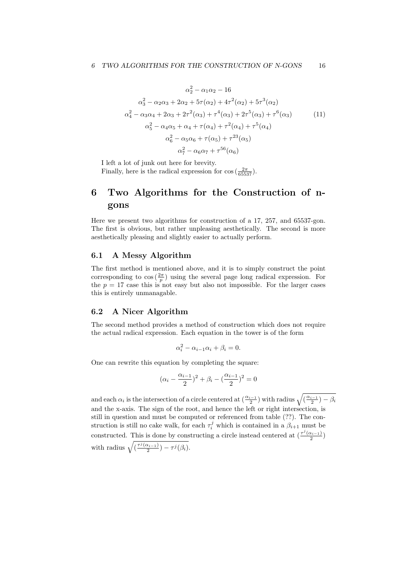$$
\alpha_2^2 - \alpha_1 \alpha_2 - 16
$$
  
\n
$$
\alpha_3^2 - \alpha_2 \alpha_3 + 2\alpha_2 + 5\tau(\alpha_2) + 4\tau^2(\alpha_2) + 5\tau^3(\alpha_2)
$$
  
\n
$$
\alpha_4^2 - \alpha_3 \alpha_4 + 2\alpha_3 + 2\tau^2(\alpha_3) + \tau^4(\alpha_3) + 2\tau^5(\alpha_3) + \tau^6(\alpha_3)
$$
  
\n
$$
\alpha_5^2 - \alpha_4 \alpha_5 + \alpha_4 + \tau(\alpha_4) + \tau^2(\alpha_4) + \tau^5(\alpha_4)
$$
  
\n
$$
\alpha_6^2 - \alpha_5 \alpha_6 + \tau(\alpha_5) + \tau^{23}(\alpha_5)
$$
  
\n
$$
\alpha_7^2 - \alpha_6 \alpha_7 + \tau^{56}(\alpha_6)
$$
 (11)

I left a lot of junk out here for brevity.

Finally, here is the radical expression for  $\cos\left(\frac{2\pi}{65537}\right)$ .

## 6 Two Algorithms for the Construction of ngons

Here we present two algorithms for construction of a 17, 257, and 65537-gon. The first is obvious, but rather unpleasing aesthetically. The second is more aesthetically pleasing and slightly easier to actually perform.

#### 6.1 A Messy Algorithm

The first method is mentioned above, and it is to simply construct the point corresponding to  $\cos(\frac{2\pi}{p})$  using the several page long radical expression. For the  $p = 17$  case this is not easy but also not impossible. For the larger cases this is entirely unmanagable.

#### 6.2 A Nicer Algorithm

The second method provides a method of construction which does not require the actual radical expression. Each equation in the tower is of the form

$$
\alpha_i^2 - \alpha_{i-1}\alpha_i + \beta_i = 0.
$$

One can rewrite this equation by completing the square:

$$
(\alpha_i - \frac{\alpha_{i-1}}{2})^2 + \beta_i - (\frac{\alpha_{i-1}}{2})^2 = 0
$$

and each  $\alpha_i$  is the intersection of a circle centered at  $(\frac{\alpha_{i-1}}{2})$  with radius  $\sqrt{(\frac{\alpha_{i-1}}{2}) - \beta_i}$ and the x-axis. The sign of the root, and hence the left or right intersection, is still in question and must be computed or referenced from table (??). The construction is still no cake walk, for each  $\tau_i^j$  which is contained in a  $\beta_{i+1}$  must be constructed. This is done by constructing a circle instead centered at  $\left(\frac{\tau^j(a_{i-1})}{2}\right)$ with radius  $\sqrt{\left(\frac{\tau^j(\alpha_{i-1})}{2}\right) - \tau^j(\beta_i)}$ .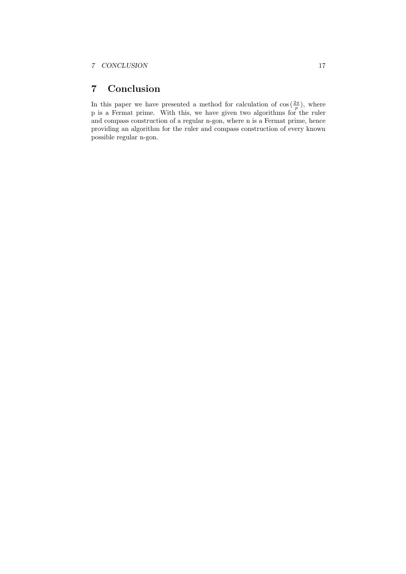### 7 Conclusion

In this paper we have presented a method for calculation of  $\cos\left(\frac{2\pi}{p}\right)$ , where p is a Fermat prime. With this, we have given two algorithms for the ruler and compass construction of a regular n-gon, where n is a Fermat prime, hence providing an algorithm for the ruler and compass construction of every known possible regular n-gon.